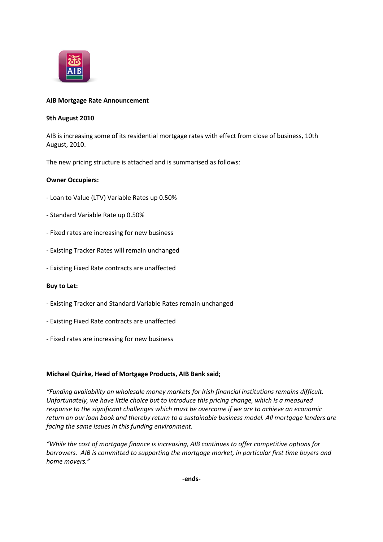

### **AIB Mortgage Rate Announcement**

#### **9th August 2010**

AIB is increasing some of its residential mortgage rates with effect from close of business, 10th August, 2010.

The new pricing structure is attached and is summarised as follows:

## **Owner Occupiers:**

- Loan to Value (LTV) Variable Rates up 0.50%
- Standard Variable Rate up 0.50%
- Fixed rates are increasing for new business
- Existing Tracker Rates will remain unchanged
- Existing Fixed Rate contracts are unaffected

#### **Buy to Let:**

- Existing Tracker and Standard Variable Rates remain unchanged
- Existing Fixed Rate contracts are unaffected
- Fixed rates are increasing for new business

#### **Michael Quirke, Head of Mortgage Products, AIB Bank said;**

*"Funding availability on wholesale money markets for Irish financial institutions remains difficult. Unfortunately, we have little choice but to introduce this pricing change, which is a measured response to the significant challenges which must be overcome if we are to achieve an economic return on our loan book and thereby return to a sustainable business model. All mortgage lenders are facing the same issues in this funding environment.*

*"While the cost of mortgage finance is increasing, AIB continues to offer competitive options for borrowers. AIB is committed to supporting the mortgage market, in particular first time buyers and home movers."*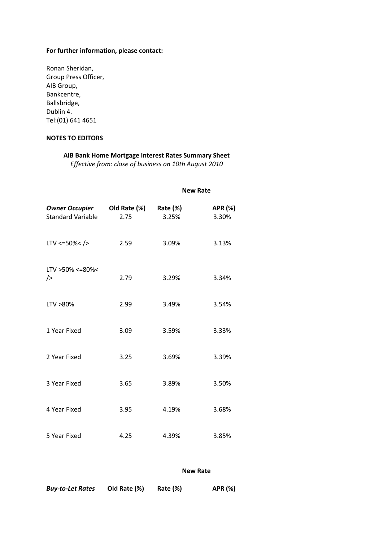# **For further information, please contact:**

| Ronan Sheridan,      |  |
|----------------------|--|
| Group Press Officer, |  |
| AIB Group,           |  |
| Bankcentre,          |  |
| Ballsbridge,         |  |
| Dublin 4.            |  |
| Tel: (01) 641 4651   |  |

# **NOTES TO EDITORS**

# **AIB Bank Home Mortgage Interest Rates Summary Sheet**

*Effective from: close of business on 10th August 2010*

|                                                   |                      | <b>New Rate</b>   |                  |
|---------------------------------------------------|----------------------|-------------------|------------------|
| <b>Owner Occupier</b><br><b>Standard Variable</b> | Old Rate (%)<br>2.75 | Rate (%)<br>3.25% | APR (%)<br>3.30% |
| $LTV < = 50\% < />$                               | 2.59                 | 3.09%             | 3.13%            |
| LTV > 50% <= 80% <<br>$\rightarrow$               | 2.79                 | 3.29%             | 3.34%            |
| LTV >80%                                          | 2.99                 | 3.49%             | 3.54%            |
| 1 Year Fixed                                      | 3.09                 | 3.59%             | 3.33%            |
| 2 Year Fixed                                      | 3.25                 | 3.69%             | 3.39%            |
| 3 Year Fixed                                      | 3.65                 | 3.89%             | 3.50%            |
| 4 Year Fixed                                      | 3.95                 | 4.19%             | 3.68%            |
| 5 Year Fixed                                      | 4.25                 | 4.39%             | 3.85%            |

### **New Rate**

| <b>Buy-to-Let Rates</b> | Old Rate (%) | Rate (%) | APR (%) |
|-------------------------|--------------|----------|---------|
|                         |              |          |         |